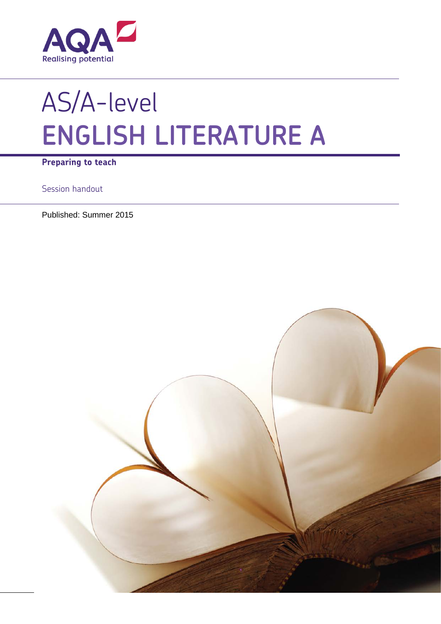

# AS/A-level **ENGLISH LITERATURE A**

**Preparing to teach**

Session handout

Published: Summer 2015

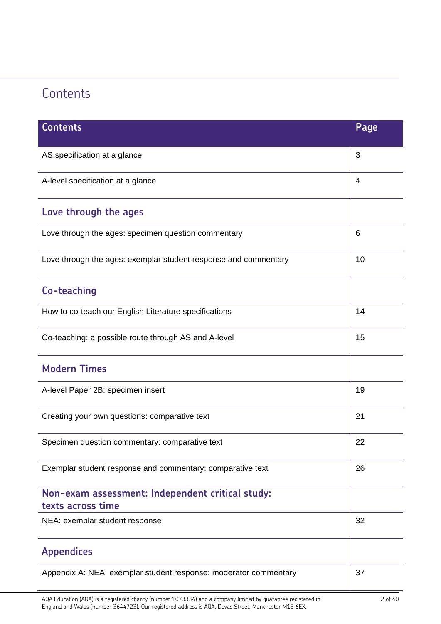# **Contents**

| <b>Contents</b>                                                       | Page |  |  |
|-----------------------------------------------------------------------|------|--|--|
| AS specification at a glance                                          | 3    |  |  |
| A-level specification at a glance                                     |      |  |  |
| Love through the ages                                                 |      |  |  |
| Love through the ages: specimen question commentary                   | 6    |  |  |
| Love through the ages: exemplar student response and commentary       |      |  |  |
| Co-teaching                                                           |      |  |  |
| How to co-teach our English Literature specifications                 | 14   |  |  |
| Co-teaching: a possible route through AS and A-level                  |      |  |  |
| <b>Modern Times</b>                                                   |      |  |  |
| A-level Paper 2B: specimen insert                                     | 19   |  |  |
| Creating your own questions: comparative text                         | 21   |  |  |
| Specimen question commentary: comparative text                        | 22   |  |  |
| Exemplar student response and commentary: comparative text            |      |  |  |
| Non-exam assessment: Independent critical study:<br>texts across time |      |  |  |
| NEA: exemplar student response                                        | 32   |  |  |
| <b>Appendices</b>                                                     |      |  |  |
| Appendix A: NEA: exemplar student response: moderator commentary      |      |  |  |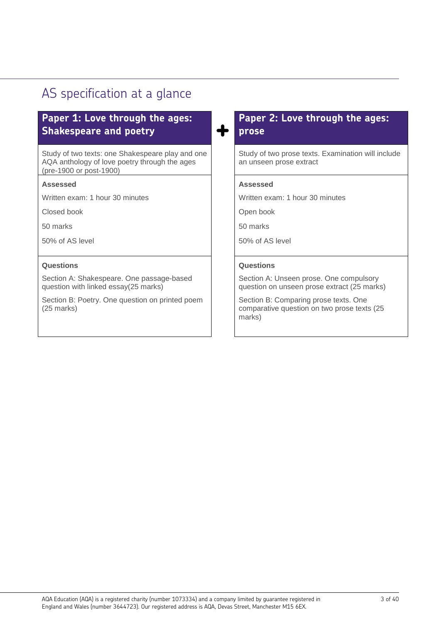# AS specification at a glance

## **Paper 1: Love through the ages: Shakespeare and poetry +**

Study of two texts: one Shakespeare play and one AQA anthology of love poetry through the ages (pre-1900 or post-1900)

#### **Assessed**

Written exam: 1 hour 30 minutes

Closed book

50 marks

50% of AS level

#### **Questions**

Section A: Shakespeare. One passage-based question with linked essay(25 marks)

Section B: Poetry. One question on printed poem (25 marks)

## **Paper 2: Love through the ages: prose**

Study of two prose texts. Examination will include an unseen prose extract

#### **Assessed**

Written exam: 1 hour 30 minutes

Open book

50 marks

50% of AS level

#### **Questions**

Section A: Unseen prose. One compulsory question on unseen prose extract (25 marks)

Section B: Comparing prose texts. One comparative question on two prose texts (25 marks)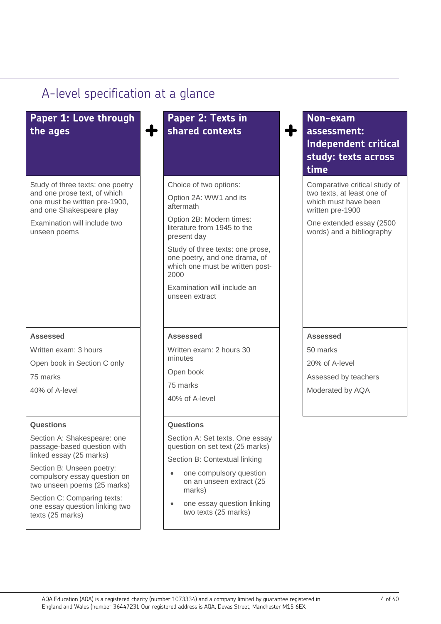# A-level specification at a glance

# **Paper 1: Love through the ages +**

Study of three texts: one poetry and one prose text, of which one must be written pre-1900, and one Shakespeare play

Examination will include two unseen poems

#### **Assessed**

Written exam: 3 hours

Open book in Section C only

75 marks

40% of A-level

#### **Questions**

Section A: Shakespeare: one passage-based question with linked essay (25 marks)

Section B: Unseen poetry: compulsory essay question on two unseen poems (25 marks)

Section C: Comparing texts: one essay question linking two texts (25 marks)

## **Paper 2: Texts in shared contexts +**

Choice of two options:

Option 2A: WW1 and its aftermath

Option 2B: Modern times: literature from 1945 to the present day

Study of three texts: one prose, one poetry, and one drama, of which one must be written post-2000

Examination will include an unseen extract

#### **Assessed**

Written exam: 2 hours 30 minutes

Open book

75 marks

40% of A-level

#### **Questions**

Section A: Set texts. One essay question on set text (25 marks)

Section B: Contextual linking

- one compulsory question on an unseen extract (25 marks)
- one essay question linking two texts (25 marks)

## **Non-exam assessment: Independent critical study: texts across time**

Comparative critical study of two texts, at least one of which must have been written pre-1900

One extended essay (2500 words) and a bibliography

#### **Assessed**

50 marks

20% of A-level

Assessed by teachers

Moderated by AQA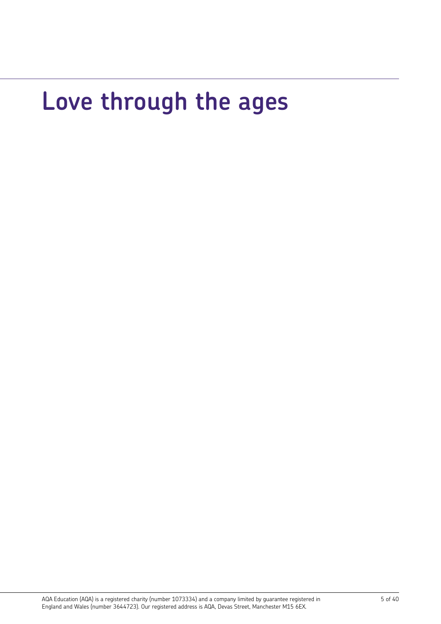# **Love through the ages**

AQA Education (AQA) is a registered charity (number 1073334) and a company limited by guarantee registered in England and Wales (number 3644723). Our registered address is AQA, Devas Street, Manchester M15 6EX.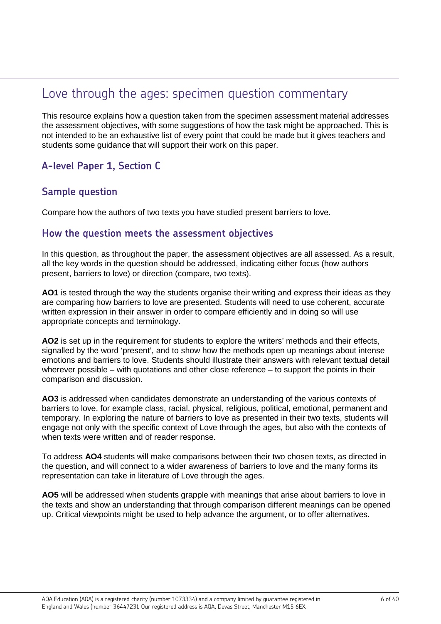## Love through the ages: specimen question commentary

This resource explains how a question taken from the specimen assessment material addresses the assessment objectives, with some suggestions of how the task might be approached. This is not intended to be an exhaustive list of every point that could be made but it gives teachers and students some guidance that will support their work on this paper.

## **A-level Paper 1, Section C**

## **Sample question**

Compare how the authors of two texts you have studied present barriers to love.

### **How the question meets the assessment objectives**

In this question, as throughout the paper, the assessment objectives are all assessed. As a result, all the key words in the question should be addressed, indicating either focus (how authors present, barriers to love) or direction (compare, two texts).

**AO1** is tested through the way the students organise their writing and express their ideas as they are comparing how barriers to love are presented. Students will need to use coherent, accurate written expression in their answer in order to compare efficiently and in doing so will use appropriate concepts and terminology.

**AO2** is set up in the requirement for students to explore the writers' methods and their effects, signalled by the word 'present', and to show how the methods open up meanings about intense emotions and barriers to love. Students should illustrate their answers with relevant textual detail wherever possible – with quotations and other close reference – to support the points in their comparison and discussion.

**AO3** is addressed when candidates demonstrate an understanding of the various contexts of barriers to love, for example class, racial, physical, religious, political, emotional, permanent and temporary. In exploring the nature of barriers to love as presented in their two texts, students will engage not only with the specific context of Love through the ages, but also with the contexts of when texts were written and of reader response.

To address **AO4** students will make comparisons between their two chosen texts, as directed in the question, and will connect to a wider awareness of barriers to love and the many forms its representation can take in literature of Love through the ages.

**AO5** will be addressed when students grapple with meanings that arise about barriers to love in the texts and show an understanding that through comparison different meanings can be opened up. Critical viewpoints might be used to help advance the argument, or to offer alternatives.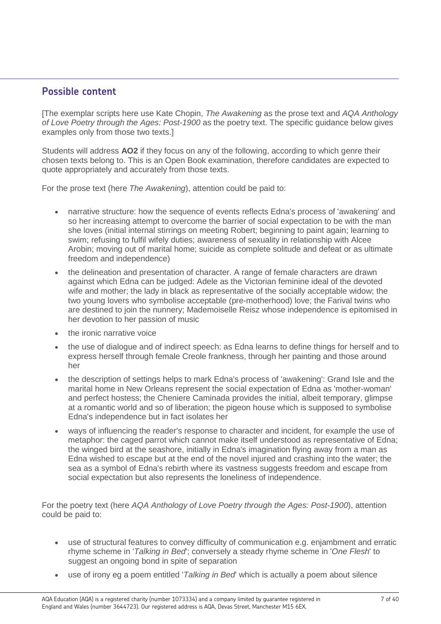## **Possible content**

[The exemplar scripts here use Kate Chopin, *The Awakening* as the prose text and *AQA Anthology of Love Poetry through the Ages: Post-1900* as the poetry text. The specific guidance below gives examples only from those two texts.]

Students will address **AO2** if they focus on any of the following, according to which genre their chosen texts belong to. This is an Open Book examination, therefore candidates are expected to quote appropriately and accurately from those texts.

For the prose text (here *The Awakening*), attention could be paid to:

- narrative structure: how the sequence of events reflects Edna's process of 'awakening' and so her increasing attempt to overcome the barrier of social expectation to be with the man she loves (initial internal stirrings on meeting Robert; beginning to paint again; learning to swim; refusing to fulfil wifely duties; awareness of sexuality in relationship with Alcee Arobin; moving out of marital home; suicide as complete solitude and defeat or as ultimate freedom and independence)
- the delineation and presentation of character. A range of female characters are drawn against which Edna can be judged: Adele as the Victorian feminine ideal of the devoted wife and mother; the lady in black as representative of the socially acceptable widow; the two young lovers who symbolise acceptable (pre-motherhood) love; the Farival twins who are destined to join the nunnery; Mademoiselle Reisz whose independence is epitomised in her devotion to her passion of music
- the ironic narrative voice
- the use of dialogue and of indirect speech: as Edna learns to define things for herself and to express herself through female Creole frankness, through her painting and those around her
- the description of settings helps to mark Edna's process of 'awakening': Grand Isle and the marital home in New Orleans represent the social expectation of Edna as 'mother-woman' and perfect hostess; the Cheniere Caminada provides the initial, albeit temporary, glimpse at a romantic world and so of liberation; the pigeon house which is supposed to symbolise Edna's independence but in fact isolates her
- ways of influencing the reader's response to character and incident, for example the use of metaphor: the caged parrot which cannot make itself understood as representative of Edna; the winged bird at the seashore, initially in Edna's imagination flying away from a man as Edna wished to escape but at the end of the novel injured and crashing into the water; the sea as a symbol of Edna's rebirth where its vastness suggests freedom and escape from social expectation but also represents the loneliness of independence.

For the poetry text (here *AQA Anthology of Love Poetry through the Ages: Post-1900*), attention could be paid to:

- use of structural features to convey difficulty of communication e.g. enjambment and erratic rhyme scheme in '*Talking in Bed*'; conversely a steady rhyme scheme in '*One Flesh*' to suggest an ongoing bond in spite of separation
- use of irony eg a poem entitled '*Talking in Bed*' which is actually a poem about silence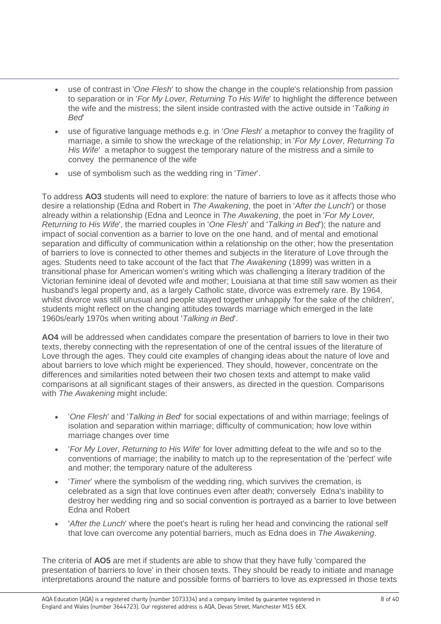- use of contrast in '*One Flesh*' to show the change in the couple's relationship from passion to separation or in '*For My Lover, Returning To His Wife*' to highlight the difference between the wife and the mistress; the silent inside contrasted with the active outside in '*Talking in Bed*'
- use of figurative language methods e.g. in '*One Flesh*' a metaphor to convey the fragility of marriage, a simile to show the wreckage of the relationship; in '*For My Lover, Returning To His Wife*' a metaphor to suggest the temporary nature of the mistress and a simile to convey the permanence of the wife
- use of symbolism such as the wedding ring in '*Timer*'.

To address **AO3** students will need to explore: the nature of barriers to love as it affects those who desire a relationship (Edna and Robert in *The Awakening*, the poet in '*After the Lunch*') or those already within a relationship (Edna and Leonce in *The Awakening*, the poet in '*For My Lover, Returning to His Wife*', the married couples in '*One Flesh*' and '*Talking in Bed*'); the nature and impact of social convention as a barrier to love on the one hand, and of mental and emotional separation and difficulty of communication within a relationship on the other; how the presentation of barriers to love is connected to other themes and subjects in the literature of Love through the ages. Students need to take account of the fact that *The Awakening* (1899) was written in a transitional phase for American women's writing which was challenging a literary tradition of the Victorian feminine ideal of devoted wife and mother; Louisiana at that time still saw women as their husband's legal property and, as a largely Catholic state, divorce was extremely rare. By 1964, whilst divorce was still unusual and people stayed together unhappily 'for the sake of the children', students might reflect on the changing attitudes towards marriage which emerged in the late 1960s/early 1970s when writing about '*Talking in Bed*'.

**AO4** will be addressed when candidates compare the presentation of barriers to love in their two texts, thereby connecting with the representation of one of the central issues of the literature of Love through the ages. They could cite examples of changing ideas about the nature of love and about barriers to love which might be experienced. They should, however, concentrate on the differences and similarities noted between their two chosen texts and attempt to make valid comparisons at all significant stages of their answers, as directed in the question. Comparisons with *The Awakening* might include:

- '*One Flesh*' and '*Talking in Bed*' for social expectations of and within marriage; feelings of isolation and separation within marriage; difficulty of communication; how love within marriage changes over time
- '*For My Lover, Returning to His Wife*' for lover admitting defeat to the wife and so to the conventions of marriage; the inability to match up to the representation of the 'perfect' wife and mother; the temporary nature of the adulteress
- '*Timer*' where the symbolism of the wedding ring, which survives the cremation, is celebrated as a sign that love continues even after death; conversely Edna's inability to destroy her wedding ring and so social convention is portrayed as a barrier to love between Edna and Robert
- '*After the Lunch*' where the poet's heart is ruling her head and convincing the rational self that love can overcome any potential barriers, much as Edna does in *The Awakening*.

The criteria of **AO5** are met if students are able to show that they have fully 'compared the presentation of barriers to love' in their chosen texts. They should be ready to initiate and manage interpretations around the nature and possible forms of barriers to love as expressed in those texts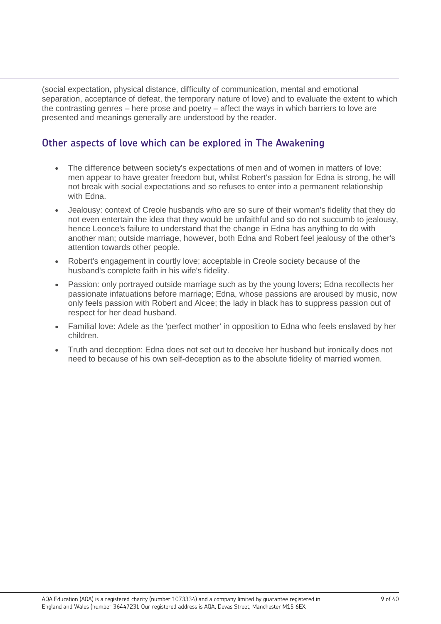(social expectation, physical distance, difficulty of communication, mental and emotional separation, acceptance of defeat, the temporary nature of love) and to evaluate the extent to which the contrasting genres – here prose and poetry – affect the ways in which barriers to love are presented and meanings generally are understood by the reader.

## **Other aspects of love which can be explored in The Awakening**

- The difference between society's expectations of men and of women in matters of love: men appear to have greater freedom but, whilst Robert's passion for Edna is strong, he will not break with social expectations and so refuses to enter into a permanent relationship with Edna.
- Jealousy: context of Creole husbands who are so sure of their woman's fidelity that they do not even entertain the idea that they would be unfaithful and so do not succumb to jealousy, hence Leonce's failure to understand that the change in Edna has anything to do with another man; outside marriage, however, both Edna and Robert feel jealousy of the other's attention towards other people.
- Robert's engagement in courtly love; acceptable in Creole society because of the husband's complete faith in his wife's fidelity.
- Passion: only portrayed outside marriage such as by the young lovers; Edna recollects her passionate infatuations before marriage; Edna, whose passions are aroused by music, now only feels passion with Robert and Alcee; the lady in black has to suppress passion out of respect for her dead husband.
- Familial love: Adele as the 'perfect mother' in opposition to Edna who feels enslaved by her children.
- Truth and deception: Edna does not set out to deceive her husband but ironically does not need to because of his own self-deception as to the absolute fidelity of married women.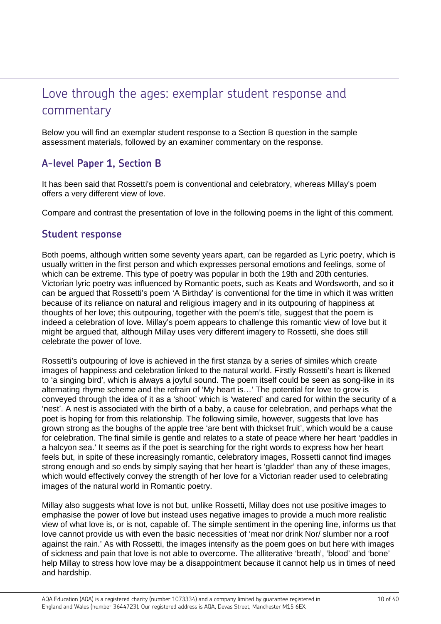## Love through the ages: exemplar student response and commentary

Below you will find an exemplar student response to a Section B question in the sample assessment materials, followed by an examiner commentary on the response.

## **A-level Paper 1, Section B**

It has been said that Rossetti's poem is conventional and celebratory, whereas Millay's poem offers a very different view of love.

Compare and contrast the presentation of love in the following poems in the light of this comment.

### **Student response**

Both poems, although written some seventy years apart, can be regarded as Lyric poetry, which is usually written in the first person and which expresses personal emotions and feelings, some of which can be extreme. This type of poetry was popular in both the 19th and 20th centuries. Victorian lyric poetry was influenced by Romantic poets, such as Keats and Wordsworth, and so it can be argued that Rossetti's poem 'A Birthday' is conventional for the time in which it was written because of its reliance on natural and religious imagery and in its outpouring of happiness at thoughts of her love; this outpouring, together with the poem's title, suggest that the poem is indeed a celebration of love. Millay's poem appears to challenge this romantic view of love but it might be argued that, although Millay uses very different imagery to Rossetti, she does still celebrate the power of love.

Rossetti's outpouring of love is achieved in the first stanza by a series of similes which create images of happiness and celebration linked to the natural world. Firstly Rossetti's heart is likened to 'a singing bird', which is always a joyful sound. The poem itself could be seen as song-like in its alternating rhyme scheme and the refrain of 'My heart is…' The potential for love to grow is conveyed through the idea of it as a 'shoot' which is 'watered' and cared for within the security of a 'nest'. A nest is associated with the birth of a baby, a cause for celebration, and perhaps what the poet is hoping for from this relationship. The following simile, however, suggests that love has grown strong as the boughs of the apple tree 'are bent with thickset fruit', which would be a cause for celebration. The final simile is gentle and relates to a state of peace where her heart 'paddles in a halcyon sea.' It seems as if the poet is searching for the right words to express how her heart feels but, in spite of these increasingly romantic, celebratory images, Rossetti cannot find images strong enough and so ends by simply saying that her heart is 'gladder' than any of these images, which would effectively convey the strength of her love for a Victorian reader used to celebrating images of the natural world in Romantic poetry.

Millay also suggests what love is not but, unlike Rossetti, Millay does not use positive images to emphasise the power of love but instead uses negative images to provide a much more realistic view of what love is, or is not, capable of. The simple sentiment in the opening line, informs us that love cannot provide us with even the basic necessities of 'meat nor drink Nor/ slumber nor a roof against the rain.' As with Rossetti, the images intensify as the poem goes on but here with images of sickness and pain that love is not able to overcome. The alliterative 'breath', 'blood' and 'bone' help Millay to stress how love may be a disappointment because it cannot help us in times of need and hardship.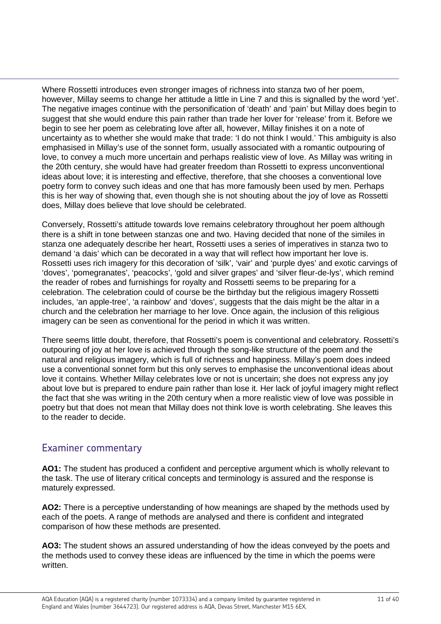Where Rossetti introduces even stronger images of richness into stanza two of her poem, however, Millay seems to change her attitude a little in Line 7 and this is signalled by the word 'yet'. The negative images continue with the personification of 'death' and 'pain' but Millay does begin to suggest that she would endure this pain rather than trade her lover for 'release' from it. Before we begin to see her poem as celebrating love after all, however, Millay finishes it on a note of uncertainty as to whether she would make that trade: 'I do not think I would.' This ambiguity is also emphasised in Millay's use of the sonnet form, usually associated with a romantic outpouring of love, to convey a much more uncertain and perhaps realistic view of love. As Millay was writing in the 20th century, she would have had greater freedom than Rossetti to express unconventional ideas about love; it is interesting and effective, therefore, that she chooses a conventional love poetry form to convey such ideas and one that has more famously been used by men. Perhaps this is her way of showing that, even though she is not shouting about the joy of love as Rossetti does, Millay does believe that love should be celebrated.

Conversely, Rossetti's attitude towards love remains celebratory throughout her poem although there is a shift in tone between stanzas one and two. Having decided that none of the similes in stanza one adequately describe her heart, Rossetti uses a series of imperatives in stanza two to demand 'a dais' which can be decorated in a way that will reflect how important her love is. Rossetti uses rich imagery for this decoration of 'silk', 'vair' and 'purple dyes' and exotic carvings of 'doves', 'pomegranates', 'peacocks', 'gold and silver grapes' and 'silver fleur-de-lys', which remind the reader of robes and furnishings for royalty and Rossetti seems to be preparing for a celebration. The celebration could of course be the birthday but the religious imagery Rossetti includes, 'an apple-tree', 'a rainbow' and 'doves', suggests that the dais might be the altar in a church and the celebration her marriage to her love. Once again, the inclusion of this religious imagery can be seen as conventional for the period in which it was written.

There seems little doubt, therefore, that Rossetti's poem is conventional and celebratory. Rossetti's outpouring of joy at her love is achieved through the song-like structure of the poem and the natural and religious imagery, which is full of richness and happiness. Millay's poem does indeed use a conventional sonnet form but this only serves to emphasise the unconventional ideas about love it contains. Whether Millay celebrates love or not is uncertain; she does not express any joy about love but is prepared to endure pain rather than lose it. Her lack of joyful imagery might reflect the fact that she was writing in the 20th century when a more realistic view of love was possible in poetry but that does not mean that Millay does not think love is worth celebrating. She leaves this to the reader to decide.

## Examiner commentary

**AO1:** The student has produced a confident and perceptive argument which is wholly relevant to the task. The use of literary critical concepts and terminology is assured and the response is maturely expressed.

**AO2:** There is a perceptive understanding of how meanings are shaped by the methods used by each of the poets. A range of methods are analysed and there is confident and integrated comparison of how these methods are presented.

**AO3:** The student shows an assured understanding of how the ideas conveyed by the poets and the methods used to convey these ideas are influenced by the time in which the poems were written.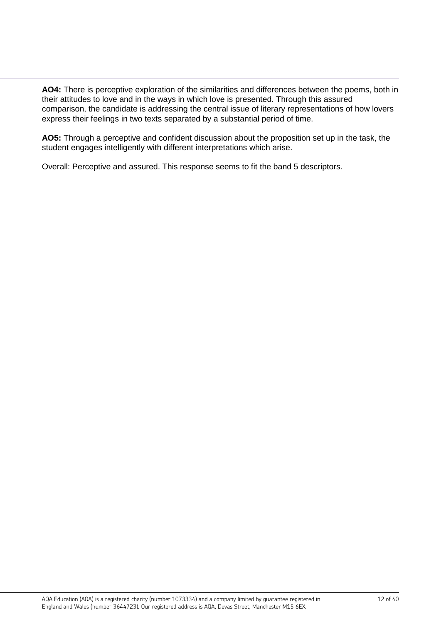**AO4:** There is perceptive exploration of the similarities and differences between the poems, both in their attitudes to love and in the ways in which love is presented. Through this assured comparison, the candidate is addressing the central issue of literary representations of how lovers express their feelings in two texts separated by a substantial period of time.

**AO5:** Through a perceptive and confident discussion about the proposition set up in the task, the student engages intelligently with different interpretations which arise.

Overall: Perceptive and assured. This response seems to fit the band 5 descriptors.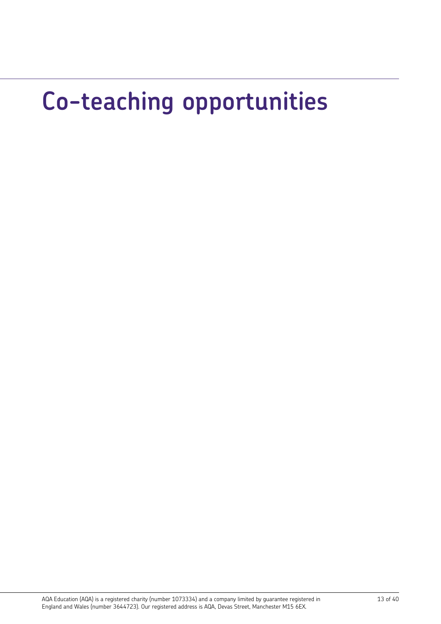# **Co-teaching opportunities**

AQA Education (AQA) is a registered charity (number 1073334) and a company limited by guarantee registered in England and Wales (number 3644723). Our registered address is AQA, Devas Street, Manchester M15 6EX.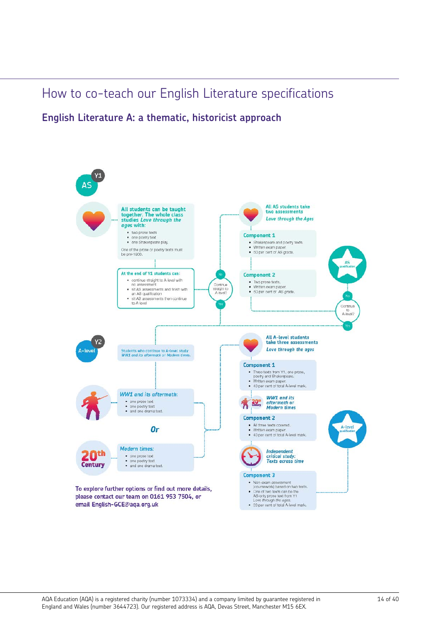## How to co-teach our English Literature specifications

**English Literature A: a thematic, historicist approach**



email English-GCE@aqa.org.uk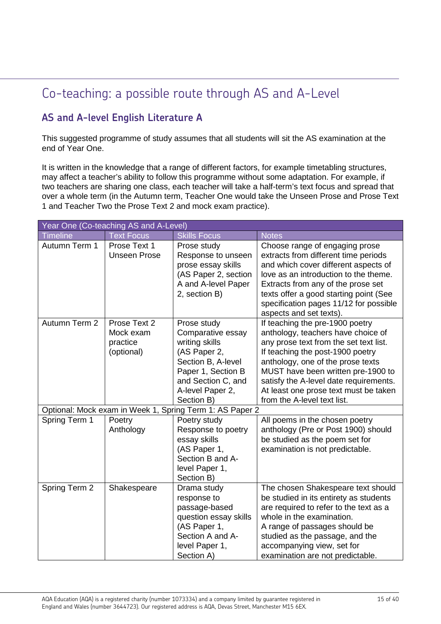# Co-teaching: a possible route through AS and A-Level

## **AS and A-level English Literature A**

This suggested programme of study assumes that all students will sit the AS examination at the end of Year One.

It is written in the knowledge that a range of different factors, for example timetabling structures, may affect a teacher's ability to follow this programme without some adaptation. For example, if two teachers are sharing one class, each teacher will take a half-term's text focus and spread that over a whole term (in the Autumn term, Teacher One would take the Unseen Prose and Prose Text 1 and Teacher Two the Prose Text 2 and mock exam practice).

| Year One (Co-teaching AS and A-Level) |                                                     |                                                                                                                                                                        |                                                                                                                                                                                                                                                                                                                                                  |
|---------------------------------------|-----------------------------------------------------|------------------------------------------------------------------------------------------------------------------------------------------------------------------------|--------------------------------------------------------------------------------------------------------------------------------------------------------------------------------------------------------------------------------------------------------------------------------------------------------------------------------------------------|
| <b>Timeline</b>                       | <b>Text Focus</b>                                   | <b>Skills Focus</b>                                                                                                                                                    | <b>Notes</b>                                                                                                                                                                                                                                                                                                                                     |
| Autumn Term 1                         | Prose Text 1<br><b>Unseen Prose</b>                 | Prose study<br>Response to unseen<br>prose essay skills<br>(AS Paper 2, section<br>A and A-level Paper<br>2, section B)                                                | Choose range of engaging prose<br>extracts from different time periods<br>and which cover different aspects of<br>love as an introduction to the theme.<br>Extracts from any of the prose set<br>texts offer a good starting point (See<br>specification pages 11/12 for possible<br>aspects and set texts).                                     |
| Autumn Term 2                         | Prose Text 2<br>Mock exam<br>practice<br>(optional) | Prose study<br>Comparative essay<br>writing skills<br>(AS Paper 2,<br>Section B, A-level<br>Paper 1, Section B<br>and Section C, and<br>A-level Paper 2,<br>Section B) | If teaching the pre-1900 poetry<br>anthology, teachers have choice of<br>any prose text from the set text list.<br>If teaching the post-1900 poetry<br>anthology, one of the prose texts<br>MUST have been written pre-1900 to<br>satisfy the A-level date requirements.<br>At least one prose text must be taken<br>from the A-level text list. |
|                                       |                                                     | Optional: Mock exam in Week 1, Spring Term 1: AS Paper 2                                                                                                               |                                                                                                                                                                                                                                                                                                                                                  |
| Spring Term 1                         | Poetry<br>Anthology                                 | Poetry study<br>Response to poetry<br>essay skills<br>(AS Paper 1,<br>Section B and A-<br>level Paper 1,<br>Section B)                                                 | All poems in the chosen poetry<br>anthology (Pre or Post 1900) should<br>be studied as the poem set for<br>examination is not predictable.                                                                                                                                                                                                       |
| Spring Term 2                         | Shakespeare                                         | Drama study<br>response to<br>passage-based<br>question essay skills<br>(AS Paper 1,<br>Section A and A-<br>level Paper 1,<br>Section A)                               | The chosen Shakespeare text should<br>be studied in its entirety as students<br>are required to refer to the text as a<br>whole in the examination.<br>A range of passages should be<br>studied as the passage, and the<br>accompanying view, set for<br>examination are not predictable.                                                        |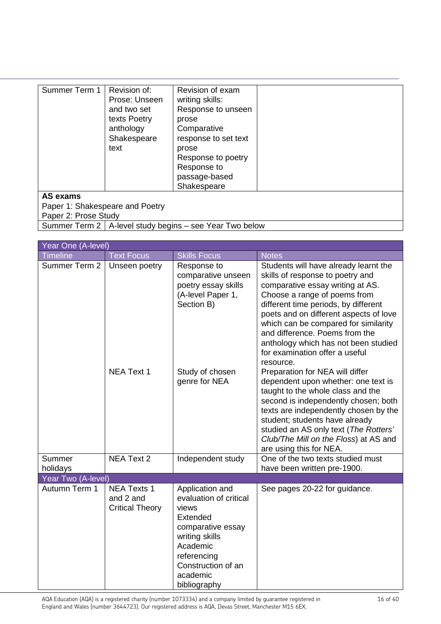| Summer Term 1                   | Revision of:  | Revision of exam     |  |
|---------------------------------|---------------|----------------------|--|
|                                 | Prose: Unseen | writing skills:      |  |
|                                 | and two set   | Response to unseen   |  |
|                                 | texts Poetry  | prose                |  |
|                                 | anthology     | Comparative          |  |
|                                 | Shakespeare   | response to set text |  |
|                                 | text          | prose                |  |
|                                 |               | Response to poetry   |  |
|                                 |               | Response to          |  |
|                                 |               | passage-based        |  |
|                                 |               | Shakespeare          |  |
| AS exams                        |               |                      |  |
| Paper 1: Shakespeare and Poetry |               |                      |  |
| Paper 2: Prose Study            |               |                      |  |

Summer Term 2 | A-level study begins – see Year Two below

| Year One (A-level) |                                                           |                                                                                                                                                                                    |                                                                                                                                                                                                                                                                                                                                                                                                  |
|--------------------|-----------------------------------------------------------|------------------------------------------------------------------------------------------------------------------------------------------------------------------------------------|--------------------------------------------------------------------------------------------------------------------------------------------------------------------------------------------------------------------------------------------------------------------------------------------------------------------------------------------------------------------------------------------------|
| <b>Timeline</b>    | <b>Text Focus</b>                                         | <b>Skills Focus</b>                                                                                                                                                                | <b>Notes</b>                                                                                                                                                                                                                                                                                                                                                                                     |
| Summer Term 2      | Unseen poetry                                             | Response to<br>comparative unseen<br>poetry essay skills<br>(A-level Paper 1,<br>Section B)                                                                                        | Students will have already learnt the<br>skills of response to poetry and<br>comparative essay writing at AS.<br>Choose a range of poems from<br>different time periods, by different<br>poets and on different aspects of love<br>which can be compared for similarity<br>and difference. Poems from the<br>anthology which has not been studied<br>for examination offer a useful<br>resource. |
|                    | <b>NEA Text 1</b>                                         | Study of chosen<br>genre for NEA                                                                                                                                                   | Preparation for NEA will differ<br>dependent upon whether: one text is<br>taught to the whole class and the<br>second is independently chosen; both<br>texts are independently chosen by the<br>student; students have already<br>studied an AS only text (The Rotters'<br>Club/The Mill on the Floss) at AS and<br>are using this for NEA.                                                      |
| Summer             | <b>NEA Text 2</b>                                         | Independent study                                                                                                                                                                  | One of the two texts studied must                                                                                                                                                                                                                                                                                                                                                                |
| holidays           |                                                           |                                                                                                                                                                                    | have been written pre-1900.                                                                                                                                                                                                                                                                                                                                                                      |
| Year Two (A-level) |                                                           |                                                                                                                                                                                    |                                                                                                                                                                                                                                                                                                                                                                                                  |
| Autumn Term 1      | <b>NEA Texts 1</b><br>and 2 and<br><b>Critical Theory</b> | Application and<br>evaluation of critical<br>views<br>Extended<br>comparative essay<br>writing skills<br>Academic<br>referencing<br>Construction of an<br>academic<br>bibliography | See pages 20-22 for guidance.                                                                                                                                                                                                                                                                                                                                                                    |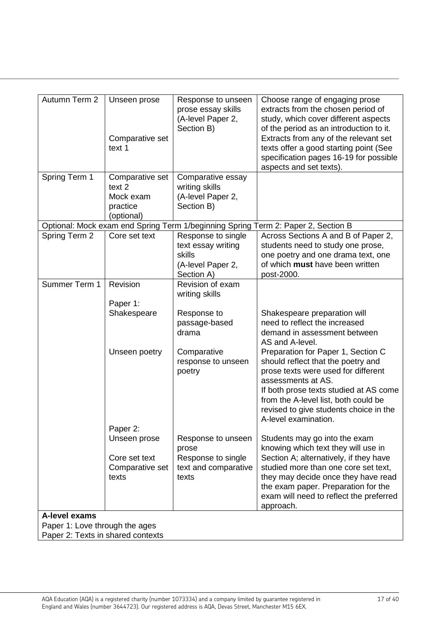| Autumn Term 2                     | Unseen prose<br>Comparative set<br>text 1 | Response to unseen<br>prose essay skills<br>(A-level Paper 2,<br>Section B) | Choose range of engaging prose<br>extracts from the chosen period of<br>study, which cover different aspects<br>of the period as an introduction to it.<br>Extracts from any of the relevant set<br>texts offer a good starting point (See<br>specification pages 16-19 for possible<br>aspects and set texts). |
|-----------------------------------|-------------------------------------------|-----------------------------------------------------------------------------|-----------------------------------------------------------------------------------------------------------------------------------------------------------------------------------------------------------------------------------------------------------------------------------------------------------------|
| Spring Term 1                     | Comparative set<br>text 2<br>Mock exam    | Comparative essay<br>writing skills<br>(A-level Paper 2,                    |                                                                                                                                                                                                                                                                                                                 |
|                                   | practice<br>(optional)                    | Section B)                                                                  |                                                                                                                                                                                                                                                                                                                 |
|                                   |                                           | Optional: Mock exam end Spring Term 1/beginning Spring                      | Term 2: Paper 2, Section B                                                                                                                                                                                                                                                                                      |
| Spring Term 2                     | Core set text                             | Response to single                                                          | Across Sections A and B of Paper 2,                                                                                                                                                                                                                                                                             |
|                                   |                                           | text essay writing<br>skills                                                | students need to study one prose,<br>one poetry and one drama text, one                                                                                                                                                                                                                                         |
|                                   |                                           | (A-level Paper 2,                                                           | of which must have been written                                                                                                                                                                                                                                                                                 |
|                                   |                                           | Section A)                                                                  | post-2000.                                                                                                                                                                                                                                                                                                      |
| Summer Term 1                     | Revision                                  | Revision of exam<br>writing skills                                          |                                                                                                                                                                                                                                                                                                                 |
|                                   | Paper 1:                                  |                                                                             |                                                                                                                                                                                                                                                                                                                 |
|                                   | Shakespeare                               | Response to                                                                 | Shakespeare preparation will                                                                                                                                                                                                                                                                                    |
|                                   |                                           | passage-based<br>drama                                                      | need to reflect the increased<br>demand in assessment between<br>AS and A-level.                                                                                                                                                                                                                                |
|                                   | Unseen poetry                             | Comparative<br>response to unseen<br>poetry                                 | Preparation for Paper 1, Section C<br>should reflect that the poetry and<br>prose texts were used for different<br>assessments at AS.<br>If both prose texts studied at AS come<br>from the A-level list, both could be<br>revised to give students choice in the<br>A-level examination.                       |
|                                   | Paper 2:                                  |                                                                             |                                                                                                                                                                                                                                                                                                                 |
|                                   | Unseen prose                              | Response to unseen<br>prose                                                 | Students may go into the exam<br>knowing which text they will use in                                                                                                                                                                                                                                            |
|                                   | Core set text                             | Response to single                                                          | Section A; alternatively, if they have                                                                                                                                                                                                                                                                          |
|                                   | Comparative set                           | text and comparative                                                        | studied more than one core set text,                                                                                                                                                                                                                                                                            |
|                                   | texts                                     | texts                                                                       | they may decide once they have read<br>the exam paper. Preparation for the                                                                                                                                                                                                                                      |
|                                   |                                           |                                                                             | exam will need to reflect the preferred<br>approach.                                                                                                                                                                                                                                                            |
| A-level exams                     |                                           |                                                                             |                                                                                                                                                                                                                                                                                                                 |
| Paper 1: Love through the ages    |                                           |                                                                             |                                                                                                                                                                                                                                                                                                                 |
| Paper 2: Texts in shared contexts |                                           |                                                                             |                                                                                                                                                                                                                                                                                                                 |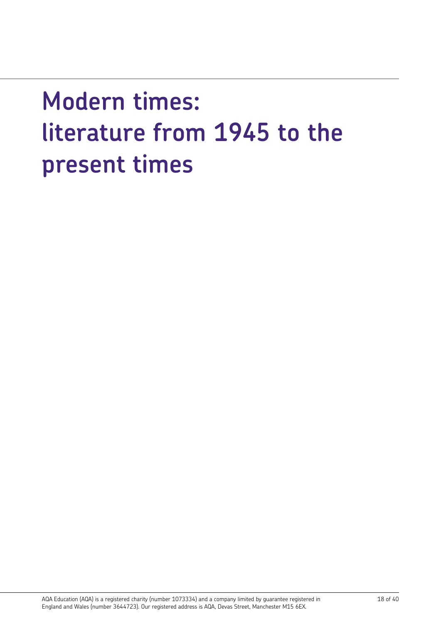# **Modern times: literature from 1945 to the present times**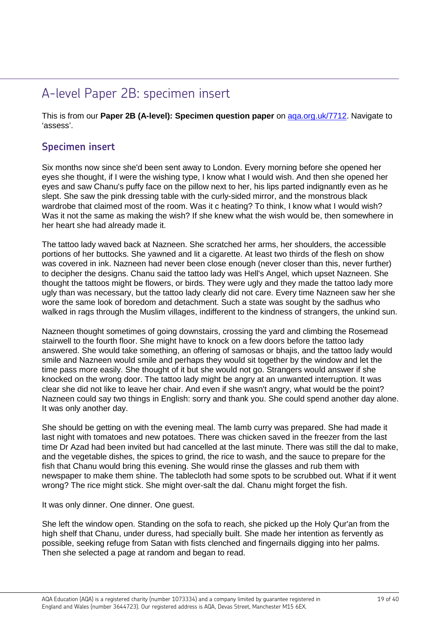# A-level Paper 2B: specimen insert

This is from our **Paper 2B (A-level): Specimen question paper** on [aqa.org.uk/7712.](http://www.aqa.org.uk/7712) Navigate to 'assess'.

### **Specimen insert**

Six months now since she'd been sent away to London. Every morning before she opened her eyes she thought, if I were the wishing type, I know what I would wish. And then she opened her eyes and saw Chanu's puffy face on the pillow next to her, his lips parted indignantly even as he slept. She saw the pink dressing table with the curly-sided mirror, and the monstrous black wardrobe that claimed most of the room. Was it c heating? To think, I know what I would wish? Was it not the same as making the wish? If she knew what the wish would be, then somewhere in her heart she had already made it.

The tattoo lady waved back at Nazneen. She scratched her arms, her shoulders, the accessible portions of her buttocks. She yawned and lit a cigarette. At least two thirds of the flesh on show was covered in ink. Nazneen had never been close enough (never closer than this, never further) to decipher the designs. Chanu said the tattoo lady was Hell's Angel, which upset Nazneen. She thought the tattoos might be flowers, or birds. They were ugly and they made the tattoo lady more ugly than was necessary, but the tattoo lady clearly did not care. Every time Nazneen saw her she wore the same look of boredom and detachment. Such a state was sought by the sadhus who walked in rags through the Muslim villages, indifferent to the kindness of strangers, the unkind sun.

Nazneen thought sometimes of going downstairs, crossing the yard and climbing the Rosemead stairwell to the fourth floor. She might have to knock on a few doors before the tattoo lady answered. She would take something, an offering of samosas or bhajis, and the tattoo lady would smile and Nazneen would smile and perhaps they would sit together by the window and let the time pass more easily. She thought of it but she would not go. Strangers would answer if she knocked on the wrong door. The tattoo lady might be angry at an unwanted interruption. It was clear she did not like to leave her chair. And even if she wasn't angry, what would be the point? Nazneen could say two things in English: sorry and thank you. She could spend another day alone. It was only another day.

She should be getting on with the evening meal. The lamb curry was prepared. She had made it last night with tomatoes and new potatoes. There was chicken saved in the freezer from the last time Dr Azad had been invited but had cancelled at the last minute. There was still the dal to make, and the vegetable dishes, the spices to grind, the rice to wash, and the sauce to prepare for the fish that Chanu would bring this evening. She would rinse the glasses and rub them with newspaper to make them shine. The tablecloth had some spots to be scrubbed out. What if it went wrong? The rice might stick. She might over-salt the dal. Chanu might forget the fish.

It was only dinner. One dinner. One guest.

She left the window open. Standing on the sofa to reach, she picked up the Holy Qur'an from the high shelf that Chanu, under duress, had specially built. She made her intention as fervently as possible, seeking refuge from Satan with fists clenched and fingernails digging into her palms. Then she selected a page at random and began to read.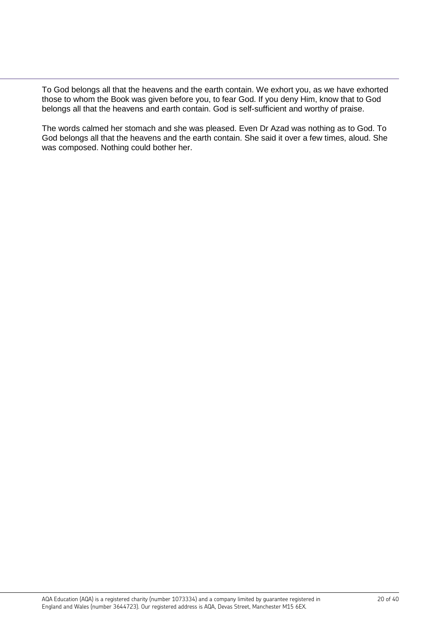To God belongs all that the heavens and the earth contain. We exhort you, as we have exhorted those to whom the Book was given before you, to fear God. If you deny Him, know that to God belongs all that the heavens and earth contain. God is self-sufficient and worthy of praise.

The words calmed her stomach and she was pleased. Even Dr Azad was nothing as to God. To God belongs all that the heavens and the earth contain. She said it over a few times, aloud. She was composed. Nothing could bother her.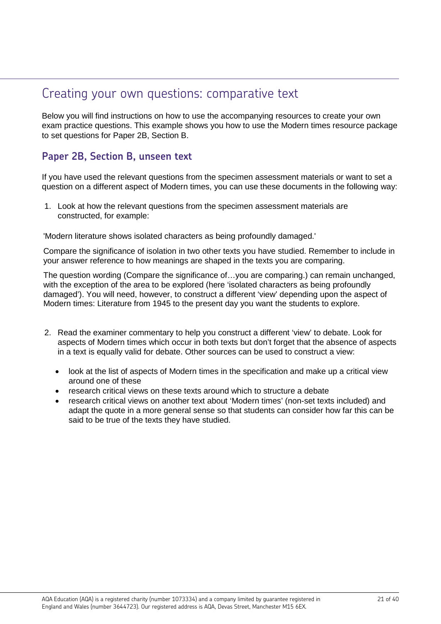## Creating your own questions: comparative text

Below you will find instructions on how to use the accompanying resources to create your own exam practice questions. This example shows you how to use the Modern times resource package to set questions for Paper 2B, Section B.

## **Paper 2B, Section B, unseen text**

If you have used the relevant questions from the specimen assessment materials or want to set a question on a different aspect of Modern times, you can use these documents in the following way:

1. Look at how the relevant questions from the specimen assessment materials are constructed, for example:

'Modern literature shows isolated characters as being profoundly damaged.'

Compare the significance of isolation in two other texts you have studied. Remember to include in your answer reference to how meanings are shaped in the texts you are comparing.

The question wording (Compare the significance of…you are comparing.) can remain unchanged, with the exception of the area to be explored (here 'isolated characters as being profoundly damaged'). You will need, however, to construct a different 'view' depending upon the aspect of Modern times: Literature from 1945 to the present day you want the students to explore.

- 2. Read the examiner commentary to help you construct a different 'view' to debate. Look for aspects of Modern times which occur in both texts but don't forget that the absence of aspects in a text is equally valid for debate. Other sources can be used to construct a view:
	- look at the list of aspects of Modern times in the specification and make up a critical view around one of these
	- research critical views on these texts around which to structure a debate
	- research critical views on another text about 'Modern times' (non-set texts included) and adapt the quote in a more general sense so that students can consider how far this can be said to be true of the texts they have studied.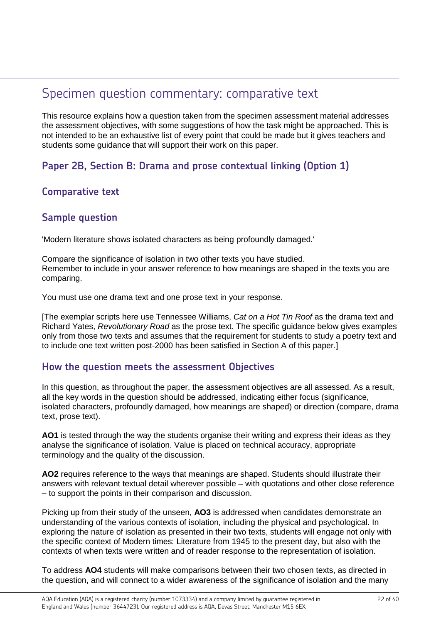## Specimen question commentary: comparative text

This resource explains how a question taken from the specimen assessment material addresses the assessment objectives, with some suggestions of how the task might be approached. This is not intended to be an exhaustive list of every point that could be made but it gives teachers and students some guidance that will support their work on this paper.

## **Paper 2B, Section B: Drama and prose contextual linking (Option 1)**

## **Comparative text**

## **Sample question**

'Modern literature shows isolated characters as being profoundly damaged.'

Compare the significance of isolation in two other texts you have studied. Remember to include in your answer reference to how meanings are shaped in the texts you are comparing.

You must use one drama text and one prose text in your response.

[The exemplar scripts here use Tennessee Williams, *Cat on a Hot Tin Roof* as the drama text and Richard Yates, *Revolutionary Road* as the prose text. The specific guidance below gives examples only from those two texts and assumes that the requirement for students to study a poetry text and to include one text written post-2000 has been satisfied in Section A of this paper.]

## **How the question meets the assessment Objectives**

In this question, as throughout the paper, the assessment objectives are all assessed. As a result, all the key words in the question should be addressed, indicating either focus (significance, isolated characters, profoundly damaged, how meanings are shaped) or direction (compare, drama text, prose text).

**AO1** is tested through the way the students organise their writing and express their ideas as they analyse the significance of isolation. Value is placed on technical accuracy, appropriate terminology and the quality of the discussion.

**AO2** requires reference to the ways that meanings are shaped. Students should illustrate their answers with relevant textual detail wherever possible – with quotations and other close reference – to support the points in their comparison and discussion.

Picking up from their study of the unseen, **AO3** is addressed when candidates demonstrate an understanding of the various contexts of isolation, including the physical and psychological. In exploring the nature of isolation as presented in their two texts, students will engage not only with the specific context of Modern times: Literature from 1945 to the present day, but also with the contexts of when texts were written and of reader response to the representation of isolation.

To address **AO4** students will make comparisons between their two chosen texts, as directed in the question, and will connect to a wider awareness of the significance of isolation and the many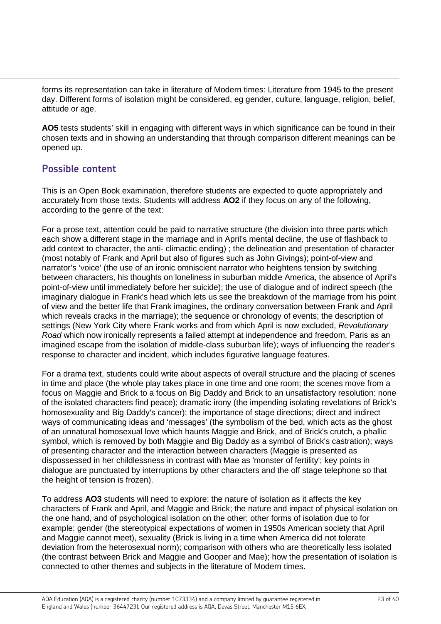forms its representation can take in literature of Modern times: Literature from 1945 to the present day. Different forms of isolation might be considered, eg gender, culture, language, religion, belief, attitude or age.

**AO5** tests students' skill in engaging with different ways in which significance can be found in their chosen texts and in showing an understanding that through comparison different meanings can be opened up.

## **Possible content**

This is an Open Book examination, therefore students are expected to quote appropriately and accurately from those texts. Students will address **AO2** if they focus on any of the following, according to the genre of the text:

For a prose text, attention could be paid to narrative structure (the division into three parts which each show a different stage in the marriage and in April's mental decline, the use of flashback to add context to character, the anti- climactic ending); the delineation and presentation of character (most notably of Frank and April but also of figures such as John Givings); point-of-view and narrator's 'voice' (the use of an ironic omniscient narrator who heightens tension by switching between characters, his thoughts on loneliness in suburban middle America, the absence of April's point-of-view until immediately before her suicide); the use of dialogue and of indirect speech (the imaginary dialogue in Frank's head which lets us see the breakdown of the marriage from his point of view and the better life that Frank imagines, the ordinary conversation between Frank and April which reveals cracks in the marriage); the sequence or chronology of events; the description of settings (New York City where Frank works and from which April is now excluded, *Revolutionary Road* which now ironically represents a failed attempt at independence and freedom, Paris as an imagined escape from the isolation of middle-class suburban life); ways of influencing the reader's response to character and incident, which includes figurative language features.

For a drama text, students could write about aspects of overall structure and the placing of scenes in time and place (the whole play takes place in one time and one room; the scenes move from a focus on Maggie and Brick to a focus on Big Daddy and Brick to an unsatisfactory resolution: none of the isolated characters find peace); dramatic irony (the impending isolating revelations of Brick's homosexuality and Big Daddy's cancer); the importance of stage directions; direct and indirect ways of communicating ideas and 'messages' (the symbolism of the bed, which acts as the ghost of an unnatural homosexual love which haunts Maggie and Brick, and of Brick's crutch, a phallic symbol, which is removed by both Maggie and Big Daddy as a symbol of Brick's castration); ways of presenting character and the interaction between characters (Maggie is presented as dispossessed in her childlessness in contrast with Mae as 'monster of fertility'; key points in dialogue are punctuated by interruptions by other characters and the off stage telephone so that the height of tension is frozen).

To address **AO3** students will need to explore: the nature of isolation as it affects the key characters of Frank and April, and Maggie and Brick; the nature and impact of physical isolation on the one hand, and of psychological isolation on the other; other forms of isolation due to for example: gender (the stereotypical expectations of women in 1950s American society that April and Maggie cannot meet), sexuality (Brick is living in a time when America did not tolerate deviation from the heterosexual norm); comparison with others who are theoretically less isolated (the contrast between Brick and Maggie and Gooper and Mae); how the presentation of isolation is connected to other themes and subjects in the literature of Modern times.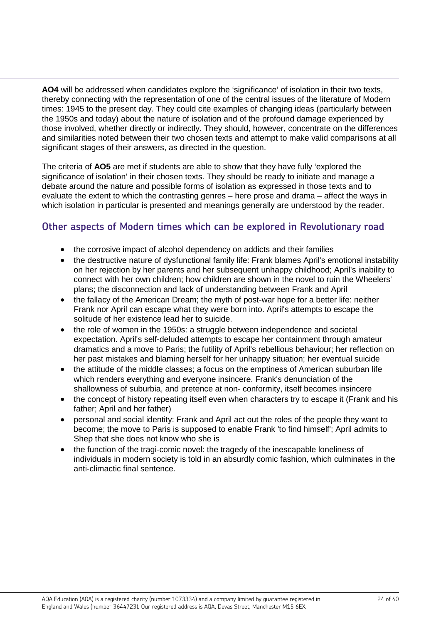**AO4** will be addressed when candidates explore the 'significance' of isolation in their two texts, thereby connecting with the representation of one of the central issues of the literature of Modern times: 1945 to the present day. They could cite examples of changing ideas (particularly between the 1950s and today) about the nature of isolation and of the profound damage experienced by those involved, whether directly or indirectly. They should, however, concentrate on the differences and similarities noted between their two chosen texts and attempt to make valid comparisons at all significant stages of their answers, as directed in the question.

The criteria of **AO5** are met if students are able to show that they have fully 'explored the significance of isolation' in their chosen texts. They should be ready to initiate and manage a debate around the nature and possible forms of isolation as expressed in those texts and to evaluate the extent to which the contrasting genres – here prose and drama – affect the ways in which isolation in particular is presented and meanings generally are understood by the reader.

## **Other aspects of Modern times which can be explored in Revolutionary road**

- the corrosive impact of alcohol dependency on addicts and their families
- the destructive nature of dysfunctional family life: Frank blames April's emotional instability on her rejection by her parents and her subsequent unhappy childhood; April's inability to connect with her own children; how children are shown in the novel to ruin the Wheelers' plans; the disconnection and lack of understanding between Frank and April
- the fallacy of the American Dream; the myth of post-war hope for a better life: neither Frank nor April can escape what they were born into. April's attempts to escape the solitude of her existence lead her to suicide.
- the role of women in the 1950s: a struggle between independence and societal expectation. April's self-deluded attempts to escape her containment through amateur dramatics and a move to Paris; the futility of April's rebellious behaviour; her reflection on her past mistakes and blaming herself for her unhappy situation; her eventual suicide
- the attitude of the middle classes: a focus on the emptiness of American suburban life which renders everything and everyone insincere. Frank's denunciation of the shallowness of suburbia, and pretence at non- conformity, itself becomes insincere
- the concept of history repeating itself even when characters try to escape it (Frank and his father; April and her father)
- personal and social identity: Frank and April act out the roles of the people they want to become; the move to Paris is supposed to enable Frank 'to find himself'; April admits to Shep that she does not know who she is
- the function of the tragi-comic novel: the tragedy of the inescapable loneliness of individuals in modern society is told in an absurdly comic fashion, which culminates in the anti-climactic final sentence.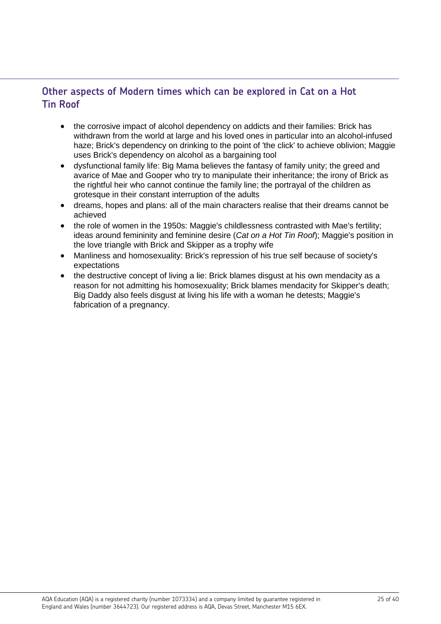## **Other aspects of Modern times which can be explored in Cat on a Hot Tin Roof**

- the corrosive impact of alcohol dependency on addicts and their families: Brick has withdrawn from the world at large and his loved ones in particular into an alcohol-infused haze; Brick's dependency on drinking to the point of 'the click' to achieve oblivion; Maggie uses Brick's dependency on alcohol as a bargaining tool
- dysfunctional family life: Big Mama believes the fantasy of family unity; the greed and avarice of Mae and Gooper who try to manipulate their inheritance; the irony of Brick as the rightful heir who cannot continue the family line; the portrayal of the children as grotesque in their constant interruption of the adults
- dreams, hopes and plans: all of the main characters realise that their dreams cannot be achieved
- the role of women in the 1950s: Maggie's childlessness contrasted with Mae's fertility; ideas around femininity and feminine desire (*Cat on a Hot Tin Roof*); Maggie's position in the love triangle with Brick and Skipper as a trophy wife
- Manliness and homosexuality: Brick's repression of his true self because of society's expectations
- the destructive concept of living a lie: Brick blames disgust at his own mendacity as a reason for not admitting his homosexuality; Brick blames mendacity for Skipper's death; Big Daddy also feels disgust at living his life with a woman he detests; Maggie's fabrication of a pregnancy.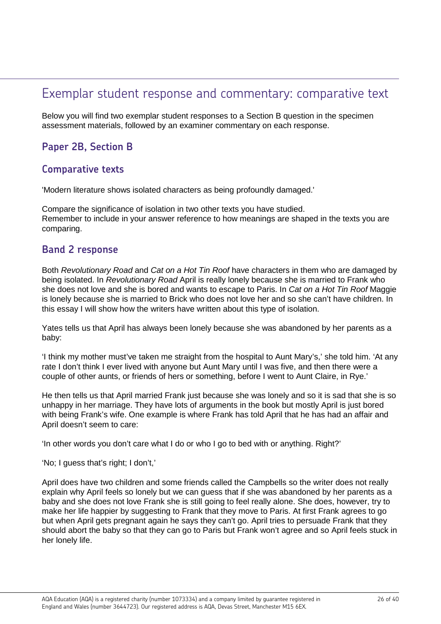## Exemplar student response and commentary: comparative text

Below you will find two exemplar student responses to a Section B question in the specimen assessment materials, followed by an examiner commentary on each response.

## **Paper 2B, Section B**

### **Comparative texts**

'Modern literature shows isolated characters as being profoundly damaged.'

Compare the significance of isolation in two other texts you have studied. Remember to include in your answer reference to how meanings are shaped in the texts you are comparing.

### **Band 2 response**

Both *Revolutionary Road* and *Cat on a Hot Tin Roof* have characters in them who are damaged by being isolated. In *Revolutionary Road* April is really lonely because she is married to Frank who she does not love and she is bored and wants to escape to Paris. In *Cat on a Hot Tin Roof* Maggie is lonely because she is married to Brick who does not love her and so she can't have children. In this essay I will show how the writers have written about this type of isolation.

Yates tells us that April has always been lonely because she was abandoned by her parents as a baby:

'I think my mother must've taken me straight from the hospital to Aunt Mary's,' she told him. 'At any rate I don't think I ever lived with anyone but Aunt Mary until I was five, and then there were a couple of other aunts, or friends of hers or something, before I went to Aunt Claire, in Rye.'

He then tells us that April married Frank just because she was lonely and so it is sad that she is so unhappy in her marriage. They have lots of arguments in the book but mostly April is just bored with being Frank's wife. One example is where Frank has told April that he has had an affair and April doesn't seem to care:

'In other words you don't care what I do or who I go to bed with or anything. Right?'

'No; I guess that's right; I don't,'

April does have two children and some friends called the Campbells so the writer does not really explain why April feels so lonely but we can guess that if she was abandoned by her parents as a baby and she does not love Frank she is still going to feel really alone. She does, however, try to make her life happier by suggesting to Frank that they move to Paris. At first Frank agrees to go but when April gets pregnant again he says they can't go. April tries to persuade Frank that they should abort the baby so that they can go to Paris but Frank won't agree and so April feels stuck in her lonely life.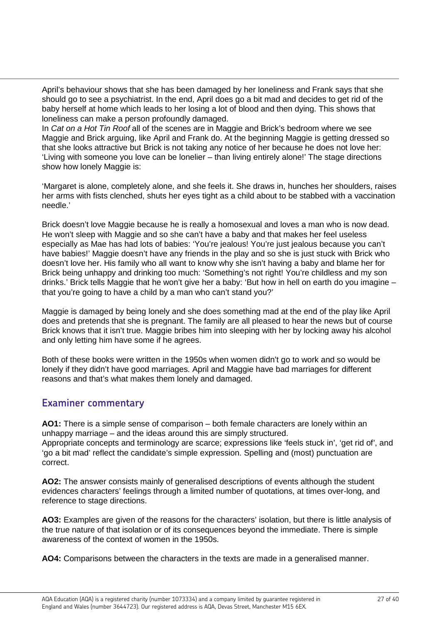April's behaviour shows that she has been damaged by her loneliness and Frank says that she should go to see a psychiatrist. In the end, April does go a bit mad and decides to get rid of the baby herself at home which leads to her losing a lot of blood and then dying. This shows that loneliness can make a person profoundly damaged.

In *Cat on a Hot Tin Roof* all of the scenes are in Maggie and Brick's bedroom where we see Maggie and Brick arguing, like April and Frank do. At the beginning Maggie is getting dressed so that she looks attractive but Brick is not taking any notice of her because he does not love her: 'Living with someone you love can be lonelier – than living entirely alone!' The stage directions show how lonely Maggie is:

'Margaret is alone, completely alone, and she feels it. She draws in, hunches her shoulders, raises her arms with fists clenched, shuts her eyes tight as a child about to be stabbed with a vaccination needle.'

Brick doesn't love Maggie because he is really a homosexual and loves a man who is now dead. He won't sleep with Maggie and so she can't have a baby and that makes her feel useless especially as Mae has had lots of babies: 'You're jealous! You're just jealous because you can't have babies!' Maggie doesn't have any friends in the play and so she is just stuck with Brick who doesn't love her. His family who all want to know why she isn't having a baby and blame her for Brick being unhappy and drinking too much: 'Something's not right! You're childless and my son drinks.' Brick tells Maggie that he won't give her a baby: 'But how in hell on earth do you imagine – that you're going to have a child by a man who can't stand you?'

Maggie is damaged by being lonely and she does something mad at the end of the play like April does and pretends that she is pregnant. The family are all pleased to hear the news but of course Brick knows that it isn't true. Maggie bribes him into sleeping with her by locking away his alcohol and only letting him have some if he agrees.

Both of these books were written in the 1950s when women didn't go to work and so would be lonely if they didn't have good marriages. April and Maggie have bad marriages for different reasons and that's what makes them lonely and damaged.

## **Examiner commentary**

**AO1:** There is a simple sense of comparison – both female characters are lonely within an unhappy marriage – and the ideas around this are simply structured. Appropriate concepts and terminology are scarce; expressions like 'feels stuck in', 'get rid of', and 'go a bit mad' reflect the candidate's simple expression. Spelling and (most) punctuation are correct.

**AO2:** The answer consists mainly of generalised descriptions of events although the student evidences characters' feelings through a limited number of quotations, at times over-long, and reference to stage directions.

**AO3:** Examples are given of the reasons for the characters' isolation, but there is little analysis of the true nature of that isolation or of its consequences beyond the immediate. There is simple awareness of the context of women in the 1950s.

**AO4:** Comparisons between the characters in the texts are made in a generalised manner.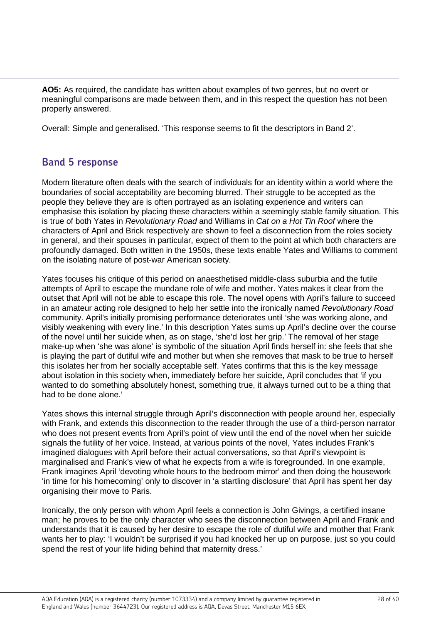**AO5:** As required, the candidate has written about examples of two genres, but no overt or meaningful comparisons are made between them, and in this respect the question has not been properly answered.

Overall: Simple and generalised. 'This response seems to fit the descriptors in Band 2'.

## **Band 5 response**

Modern literature often deals with the search of individuals for an identity within a world where the boundaries of social acceptability are becoming blurred. Their struggle to be accepted as the people they believe they are is often portrayed as an isolating experience and writers can emphasise this isolation by placing these characters within a seemingly stable family situation. This is true of both Yates in *Revolutionary Road* and Williams in *Cat on a Hot Tin Roof* where the characters of April and Brick respectively are shown to feel a disconnection from the roles society in general, and their spouses in particular, expect of them to the point at which both characters are profoundly damaged. Both written in the 1950s, these texts enable Yates and Williams to comment on the isolating nature of post-war American society.

Yates focuses his critique of this period on anaesthetised middle-class suburbia and the futile attempts of April to escape the mundane role of wife and mother. Yates makes it clear from the outset that April will not be able to escape this role. The novel opens with April's failure to succeed in an amateur acting role designed to help her settle into the ironically named *Revolutionary Road*  community. April's initially promising performance deteriorates until 'she was working alone, and visibly weakening with every line.' In this description Yates sums up April's decline over the course of the novel until her suicide when, as on stage, 'she'd lost her grip.' The removal of her stage make-up when 'she was alone' is symbolic of the situation April finds herself in: she feels that she is playing the part of dutiful wife and mother but when she removes that mask to be true to herself this isolates her from her socially acceptable self. Yates confirms that this is the key message about isolation in this society when, immediately before her suicide, April concludes that 'if you wanted to do something absolutely honest, something true, it always turned out to be a thing that had to be done alone.'

Yates shows this internal struggle through April's disconnection with people around her, especially with Frank, and extends this disconnection to the reader through the use of a third-person narrator who does not present events from April's point of view until the end of the novel when her suicide signals the futility of her voice. Instead, at various points of the novel, Yates includes Frank's imagined dialogues with April before their actual conversations, so that April's viewpoint is marginalised and Frank's view of what he expects from a wife is foregrounded. In one example, Frank imagines April 'devoting whole hours to the bedroom mirror' and then doing the housework 'in time for his homecoming' only to discover in 'a startling disclosure' that April has spent her day organising their move to Paris.

Ironically, the only person with whom April feels a connection is John Givings, a certified insane man; he proves to be the only character who sees the disconnection between April and Frank and understands that it is caused by her desire to escape the role of dutiful wife and mother that Frank wants her to play: 'I wouldn't be surprised if you had knocked her up on purpose, just so you could spend the rest of your life hiding behind that maternity dress.'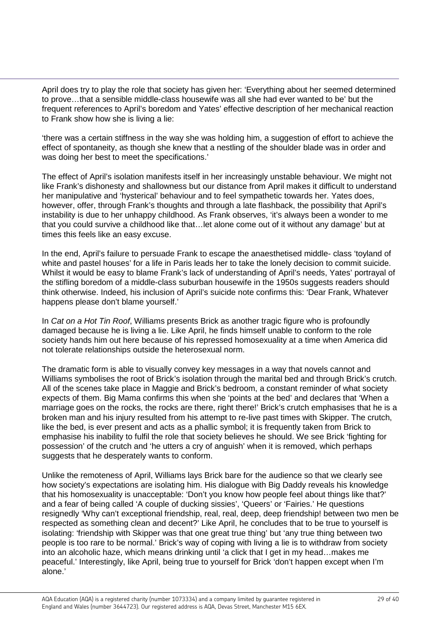April does try to play the role that society has given her: 'Everything about her seemed determined to prove…that a sensible middle-class housewife was all she had ever wanted to be' but the frequent references to April's boredom and Yates' effective description of her mechanical reaction to Frank show how she is living a lie:

'there was a certain stiffness in the way she was holding him, a suggestion of effort to achieve the effect of spontaneity, as though she knew that a nestling of the shoulder blade was in order and was doing her best to meet the specifications.'

The effect of April's isolation manifests itself in her increasingly unstable behaviour. We might not like Frank's dishonesty and shallowness but our distance from April makes it difficult to understand her manipulative and 'hysterical' behaviour and to feel sympathetic towards her. Yates does, however, offer, through Frank's thoughts and through a late flashback, the possibility that April's instability is due to her unhappy childhood. As Frank observes, 'it's always been a wonder to me that you could survive a childhood like that…let alone come out of it without any damage' but at times this feels like an easy excuse.

In the end, April's failure to persuade Frank to escape the anaesthetised middle- class 'toyland of white and pastel houses' for a life in Paris leads her to take the lonely decision to commit suicide. Whilst it would be easy to blame Frank's lack of understanding of April's needs, Yates' portrayal of the stifling boredom of a middle-class suburban housewife in the 1950s suggests readers should think otherwise. Indeed, his inclusion of April's suicide note confirms this: 'Dear Frank, Whatever happens please don't blame yourself.'

In *Cat on a Hot Tin Roof*, Williams presents Brick as another tragic figure who is profoundly damaged because he is living a lie. Like April, he finds himself unable to conform to the role society hands him out here because of his repressed homosexuality at a time when America did not tolerate relationships outside the heterosexual norm.

The dramatic form is able to visually convey key messages in a way that novels cannot and Williams symbolises the root of Brick's isolation through the marital bed and through Brick's crutch. All of the scenes take place in Maggie and Brick's bedroom, a constant reminder of what society expects of them. Big Mama confirms this when she 'points at the bed' and declares that 'When a marriage goes on the rocks, the rocks are there, right there!' Brick's crutch emphasises that he is a broken man and his injury resulted from his attempt to re-live past times with Skipper. The crutch, like the bed, is ever present and acts as a phallic symbol; it is frequently taken from Brick to emphasise his inability to fulfil the role that society believes he should. We see Brick 'fighting for possession' of the crutch and 'he utters a cry of anguish' when it is removed, which perhaps suggests that he desperately wants to conform.

Unlike the remoteness of April, Williams lays Brick bare for the audience so that we clearly see how society's expectations are isolating him. His dialogue with Big Daddy reveals his knowledge that his homosexuality is unacceptable: 'Don't you know how people feel about things like that?' and a fear of being called 'A couple of ducking sissies', 'Queers' or 'Fairies.' He questions resignedly 'Why can't exceptional friendship, real, real, deep, deep friendship! between two men be respected as something clean and decent?' Like April, he concludes that to be true to yourself is isolating: 'friendship with Skipper was that one great true thing' but 'any true thing between two people is too rare to be normal.' Brick's way of coping with living a lie is to withdraw from society into an alcoholic haze, which means drinking until 'a click that I get in my head…makes me peaceful.' Interestingly, like April, being true to yourself for Brick 'don't happen except when I'm alone.'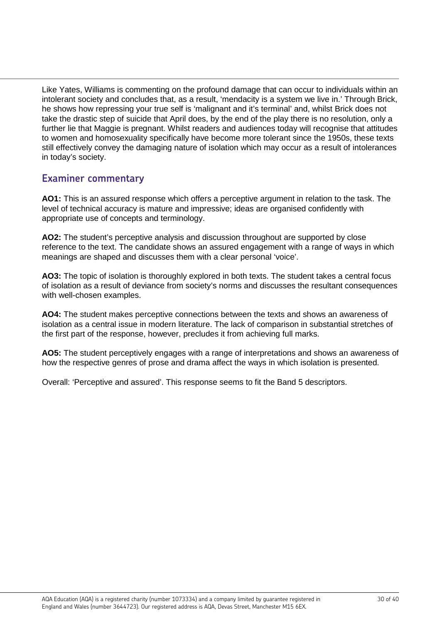Like Yates, Williams is commenting on the profound damage that can occur to individuals within an intolerant society and concludes that, as a result, 'mendacity is a system we live in.' Through Brick, he shows how repressing your true self is 'malignant and it's terminal' and, whilst Brick does not take the drastic step of suicide that April does, by the end of the play there is no resolution, only a further lie that Maggie is pregnant. Whilst readers and audiences today will recognise that attitudes to women and homosexuality specifically have become more tolerant since the 1950s, these texts still effectively convey the damaging nature of isolation which may occur as a result of intolerances in today's society.

## **Examiner commentary**

**AO1:** This is an assured response which offers a perceptive argument in relation to the task. The level of technical accuracy is mature and impressive; ideas are organised confidently with appropriate use of concepts and terminology.

**AO2:** The student's perceptive analysis and discussion throughout are supported by close reference to the text. The candidate shows an assured engagement with a range of ways in which meanings are shaped and discusses them with a clear personal 'voice'.

**AO3:** The topic of isolation is thoroughly explored in both texts. The student takes a central focus of isolation as a result of deviance from society's norms and discusses the resultant consequences with well-chosen examples.

**AO4:** The student makes perceptive connections between the texts and shows an awareness of isolation as a central issue in modern literature. The lack of comparison in substantial stretches of the first part of the response, however, precludes it from achieving full marks.

**AO5:** The student perceptively engages with a range of interpretations and shows an awareness of how the respective genres of prose and drama affect the ways in which isolation is presented.

Overall: 'Perceptive and assured'. This response seems to fit the Band 5 descriptors.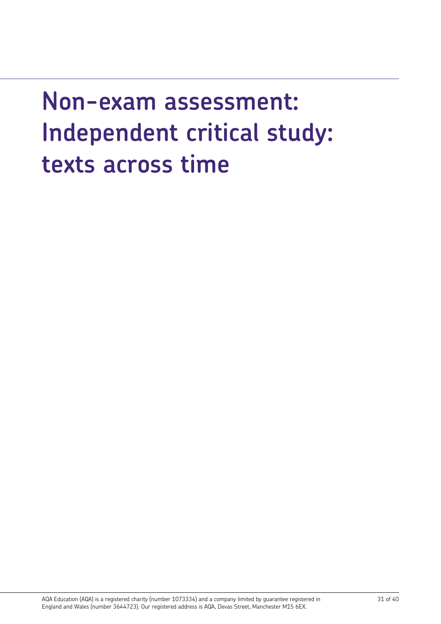# **Non-exam assessment: Independent critical study: texts across time**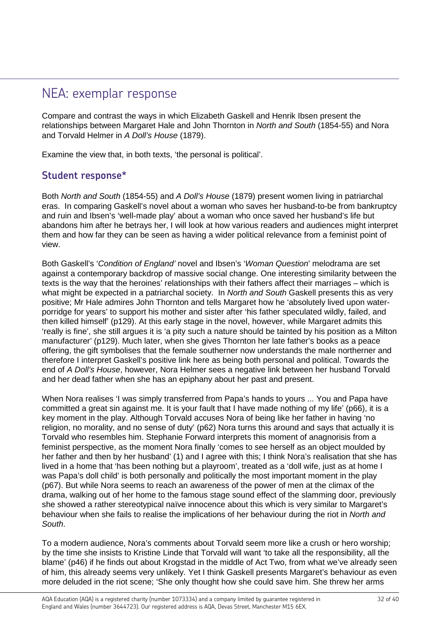## NEA: exemplar response

Compare and contrast the ways in which Elizabeth Gaskell and Henrik Ibsen present the relationships between Margaret Hale and John Thornton in *North and South* (1854-55) and Nora and Torvald Helmer in *A Doll's House* (1879).

Examine the view that, in both texts, 'the personal is political'.

## **Student response\***

Both *North and South* (1854-55) and *A Doll's House* (1879) present women living in patriarchal eras. In comparing Gaskell's novel about a woman who saves her husband-to-be from bankruptcy and ruin and Ibsen's 'well-made play' about a woman who once saved her husband's life but abandons him after he betrays her, I will look at how various readers and audiences might interpret them and how far they can be seen as having a wider political relevance from a feminist point of view.

Both Gaskell's '*Condition of England'* novel and Ibsen's '*Woman Question*' melodrama are set against a contemporary backdrop of massive social change. One interesting similarity between the texts is the way that the heroines' relationships with their fathers affect their marriages – which is what might be expected in a patriarchal society. In *North and South* Gaskell presents this as very positive; Mr Hale admires John Thornton and tells Margaret how he 'absolutely lived upon waterporridge for years' to support his mother and sister after 'his father speculated wildly, failed, and then killed himself' (p129). At this early stage in the novel, however, while Margaret admits this 'really is fine', she still argues it is 'a pity such a nature should be tainted by his position as a Milton manufacturer' (p129). Much later, when she gives Thornton her late father's books as a peace offering, the gift symbolises that the female southerner now understands the male northerner and therefore I interpret Gaskell's positive link here as being both personal and political. Towards the end of *A Doll's House*, however, Nora Helmer sees a negative link between her husband Torvald and her dead father when she has an epiphany about her past and present.

When Nora realises 'I was simply transferred from Papa's hands to yours ... You and Papa have committed a great sin against me. It is your fault that I have made nothing of my life' (p66), it is a key moment in the play. Although Torvald accuses Nora of being like her father in having 'no religion, no morality, and no sense of duty' (p62) Nora turns this around and says that actually it is Torvald who resembles him. Stephanie Forward interprets this moment of anagnorisis from a feminist perspective, as the moment Nora finally 'comes to see herself as an object moulded by her father and then by her husband' (1) and I agree with this; I think Nora's realisation that she has lived in a home that 'has been nothing but a playroom', treated as a 'doll wife, just as at home I was Papa's doll child' is both personally and politically the most important moment in the play (p67). But while Nora seems to reach an awareness of the power of men at the climax of the drama, walking out of her home to the famous stage sound effect of the slamming door, previously she showed a rather stereotypical naïve innocence about this which is very similar to Margaret's behaviour when she fails to realise the implications of her behaviour during the riot in *North and South*.

To a modern audience, Nora's comments about Torvald seem more like a crush or hero worship; by the time she insists to Kristine Linde that Torvald will want 'to take all the responsibility, all the blame' (p46) if he finds out about Krogstad in the middle of Act Two, from what we've already seen of him, this already seems very unlikely. Yet I think Gaskell presents Margaret's behaviour as even more deluded in the riot scene; 'She only thought how she could save him. She threw her arms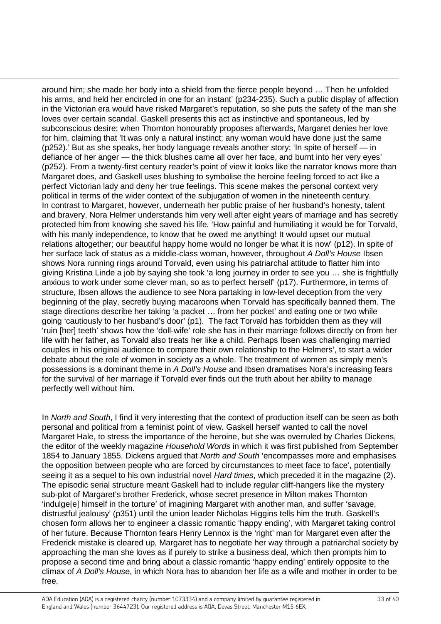around him; she made her body into a shield from the fierce people beyond … Then he unfolded his arms, and held her encircled in one for an instant' (p234-235). Such a public display of affection in the Victorian era would have risked Margaret's reputation, so she puts the safety of the man she loves over certain scandal. Gaskell presents this act as instinctive and spontaneous, led by subconscious desire; when Thornton honourably proposes afterwards, Margaret denies her love for him, claiming that 'It was only a natural instinct; any woman would have done just the same (p252).' But as she speaks, her body language reveals another story; 'In spite of herself — in defiance of her anger — the thick blushes came all over her face, and burnt into her very eyes' (p252). From a twenty-first century reader's point of view it looks like the narrator knows more than Margaret does, and Gaskell uses blushing to symbolise the heroine feeling forced to act like a perfect Victorian lady and deny her true feelings. This scene makes the personal context very political in terms of the wider context of the subjugation of women in the nineteenth century. In contrast to Margaret, however, underneath her public praise of her husband's honesty, talent and bravery, Nora Helmer understands him very well after eight years of marriage and has secretly protected him from knowing she saved his life. 'How painful and humiliating it would be for Torvald, with his manly independence, to know that he owed me anything! It would upset our mutual relations altogether; our beautiful happy home would no longer be what it is now' (p12). In spite of her surface lack of status as a middle-class woman, however, throughout *A Doll's House* Ibsen shows Nora running rings around Torvald, even using his patriarchal attitude to flatter him into giving Kristina Linde a job by saying she took 'a long journey in order to see you … she is frightfully anxious to work under some clever man, so as to perfect herself' (p17). Furthermore, in terms of structure, Ibsen allows the audience to see Nora partaking in low-level deception from the very beginning of the play, secretly buying macaroons when Torvald has specifically banned them. The stage directions describe her taking 'a packet … from her pocket' and eating one or two while going 'cautiously to her husband's door' (p1). The fact Torvald has forbidden them as they will 'ruin [her] teeth' shows how the 'doll-wife' role she has in their marriage follows directly on from her life with her father, as Torvald also treats her like a child. Perhaps Ibsen was challenging married couples in his original audience to compare their own relationship to the Helmers', to start a wider debate about the role of women in society as a whole. The treatment of women as simply men's possessions is a dominant theme in *A Doll's House* and Ibsen dramatises Nora's increasing fears for the survival of her marriage if Torvald ever finds out the truth about her ability to manage perfectly well without him.

In *North and South*, I find it very interesting that the context of production itself can be seen as both personal and political from a feminist point of view. Gaskell herself wanted to call the novel Margaret Hale, to stress the importance of the heroine, but she was overruled by Charles Dickens, the editor of the weekly magazine *Household Words* in which it was first published from September 1854 to January 1855. Dickens argued that *North and South* 'encompasses more and emphasises the opposition between people who are forced by circumstances to meet face to face', potentially seeing it as a sequel to his own industrial novel *Hard times*, which preceded it in the magazine (2). The episodic serial structure meant Gaskell had to include regular cliff-hangers like the mystery sub-plot of Margaret's brother Frederick, whose secret presence in Milton makes Thornton 'indulge[e] himself in the torture' of imagining Margaret with another man, and suffer 'savage, distrustful jealousy' (p351) until the union leader Nicholas Higgins tells him the truth. Gaskell's chosen form allows her to engineer a classic romantic 'happy ending', with Margaret taking control of her future. Because Thornton fears Henry Lennox is the 'right' man for Margaret even after the Frederick mistake is cleared up, Margaret has to negotiate her way through a patriarchal society by approaching the man she loves as if purely to strike a business deal, which then prompts him to propose a second time and bring about a classic romantic 'happy ending' entirely opposite to the climax of *A Doll's House*, in which Nora has to abandon her life as a wife and mother in order to be free.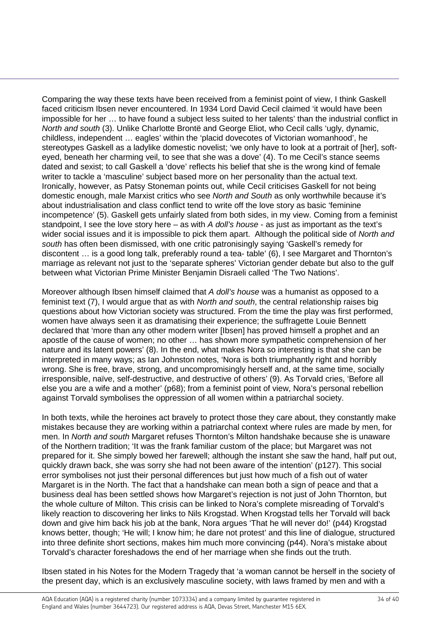Comparing the way these texts have been received from a feminist point of view, I think Gaskell faced criticism Ibsen never encountered. In 1934 Lord David Cecil claimed 'it would have been impossible for her … to have found a subject less suited to her talents' than the industrial conflict in *North and south* (3). Unlike Charlotte Brontë and George Eliot, who Cecil calls 'ugly, dynamic, childless, independent … eagles' within the 'placid dovecotes of Victorian womanhood', he stereotypes Gaskell as a ladylike domestic novelist; 'we only have to look at a portrait of [her], softeyed, beneath her charming veil, to see that she was a dove' (4). To me Cecil's stance seems dated and sexist; to call Gaskell a 'dove' reflects his belief that she is the wrong kind of female writer to tackle a 'masculine' subject based more on her personality than the actual text. Ironically, however, as Patsy Stoneman points out, while Cecil criticises Gaskell for not being domestic enough, male Marxist critics who see *North and South* as only worthwhile because it's about industrialisation and class conflict tend to write off the love story as basic 'feminine incompetence' (5). Gaskell gets unfairly slated from both sides, in my view. Coming from a feminist standpoint, I see the love story here – as with *A doll's house* - as just as important as the text's wider social issues and it is impossible to pick them apart. Although the political side of *North and south* has often been dismissed, with one critic patronisingly saying 'Gaskell's remedy for discontent … is a good long talk, preferably round a tea- table' (6), I see Margaret and Thornton's marriage as relevant not just to the 'separate spheres' Victorian gender debate but also to the gulf between what Victorian Prime Minister Benjamin Disraeli called 'The Two Nations'.

Moreover although Ibsen himself claimed that *A doll's house* was a humanist as opposed to a feminist text (7), I would argue that as with *North and south*, the central relationship raises big questions about how Victorian society was structured. From the time the play was first performed, women have always seen it as dramatising their experience; the suffragette Louie Bennett declared that 'more than any other modern writer [Ibsen] has proved himself a prophet and an apostle of the cause of women; no other … has shown more sympathetic comprehension of her nature and its latent powers' (8). In the end, what makes Nora so interesting is that she can be interpreted in many ways; as Ian Johnston notes, 'Nora is both triumphantly right and horribly wrong. She is free, brave, strong, and uncompromisingly herself and, at the same time, socially irresponsible, naïve, self-destructive, and destructive of others' (9). As Torvald cries, 'Before all else you are a wife and a mother' (p68); from a feminist point of view, Nora's personal rebellion against Torvald symbolises the oppression of all women within a patriarchal society.

In both texts, while the heroines act bravely to protect those they care about, they constantly make mistakes because they are working within a patriarchal context where rules are made by men, for men. In *North and south* Margaret refuses Thornton's Milton handshake because she is unaware of the Northern tradition; 'It was the frank familiar custom of the place; but Margaret was not prepared for it. She simply bowed her farewell; although the instant she saw the hand, half put out, quickly drawn back, she was sorry she had not been aware of the intention' (p127). This social error symbolises not just their personal differences but just how much of a fish out of water Margaret is in the North. The fact that a handshake can mean both a sign of peace and that a business deal has been settled shows how Margaret's rejection is not just of John Thornton, but the whole culture of Milton. This crisis can be linked to Nora's complete misreading of Torvald's likely reaction to discovering her links to Nils Krogstad. When Krogstad tells her Torvald will back down and give him back his job at the bank, Nora argues 'That he will never do!' (p44) Krogstad knows better, though; 'He will; I know him; he dare not protest' and this line of dialogue, structured into three definite short sections, makes him much more convincing (p44). Nora's mistake about Torvald's character foreshadows the end of her marriage when she finds out the truth.

Ibsen stated in his Notes for the Modern Tragedy that 'a woman cannot be herself in the society of the present day, which is an exclusively masculine society, with laws framed by men and with a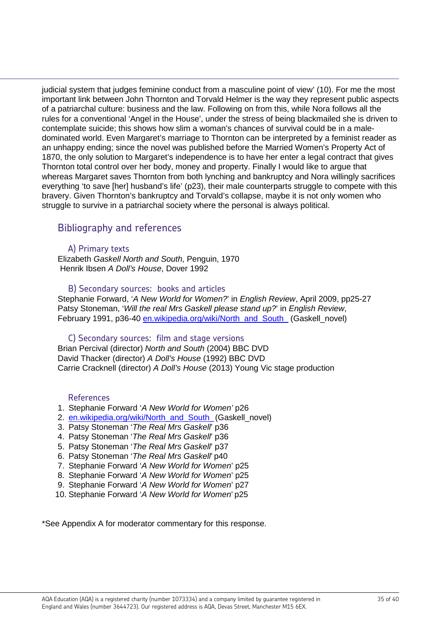judicial system that judges feminine conduct from a masculine point of view' (10). For me the most important link between John Thornton and Torvald Helmer is the way they represent public aspects of a patriarchal culture: business and the law. Following on from this, while Nora follows all the rules for a conventional 'Angel in the House', under the stress of being blackmailed she is driven to contemplate suicide; this shows how slim a woman's chances of survival could be in a maledominated world. Even Margaret's marriage to Thornton can be interpreted by a feminist reader as an unhappy ending; since the novel was published before the Married Women's Property Act of 1870, the only solution to Margaret's independence is to have her enter a legal contract that gives Thornton total control over her body, money and property. Finally I would like to argue that whereas Margaret saves Thornton from both lynching and bankruptcy and Nora willingly sacrifices everything 'to save [her] husband's life' (p23), their male counterparts struggle to compete with this bravery. Given Thornton's bankruptcy and Torvald's collapse, maybe it is not only women who struggle to survive in a patriarchal society where the personal is always political.

## Bibliography and references

#### A) Primary texts

Elizabeth *Gaskell North and South*, Penguin, 1970 Henrik Ibsen *A Doll's House*, Dover 1992

#### B) Secondary sources: books and articles

Stephanie Forward, '*A New World for Women?*' in *English Review*, April 2009, pp25-27 Patsy Stoneman, '*Will the real Mrs Gaskell please stand up?*' in *English Review*, February 1991, p36-40 en.wikipedia.org/wiki/North\_and\_South\_ (Gaskell\_novel)

#### C) Secondary sources: film and stage versions

Brian Percival (director) *North and South* (2004) BBC DVD David Thacker (director) *A Doll's House* (1992) BBC DVD Carrie Cracknell (director) *A Doll's House* (2013) Young Vic stage production

#### References

- 1. Stephanie Forward '*A New World for Women'* p26
- 2. en.wikipedia.org/wiki/North\_and\_South\_(Gaskell\_novel)
- 3. Patsy Stoneman '*The Real Mrs Gaskell*' p36
- 4. Patsy Stoneman '*The Real Mrs Gaskell*' p36
- 5. Patsy Stoneman '*The Real Mrs Gaskell*' p37
- 6. Patsy Stoneman '*The Real Mrs Gaskell*' p40
- 7. Stephanie Forward '*A New World for Women*' p25
- 8. Stephanie Forward '*A New World for Women*' p25
- 9. Stephanie Forward '*A New World for Women*' p27
- 10. Stephanie Forward '*A New World for Women*' p25

\*See Appendix A for moderator commentary for this response.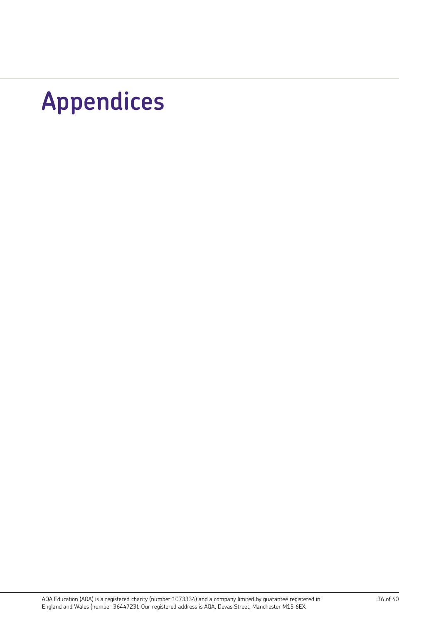# **Appendices**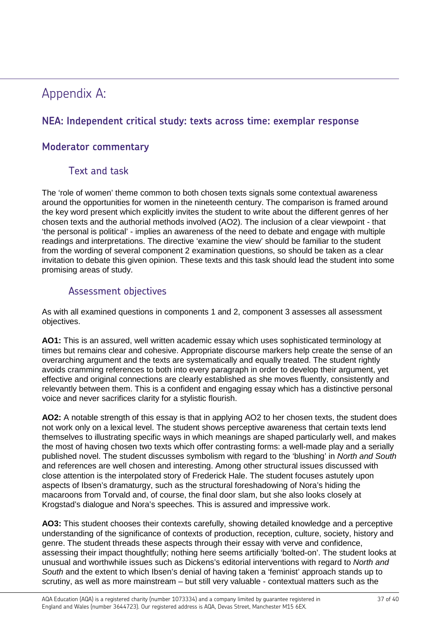## Appendix A:

## **NEA: Independent critical study: texts across time: exemplar response**

## **Moderator commentary**

## Text and task

The 'role of women' theme common to both chosen texts signals some contextual awareness around the opportunities for women in the nineteenth century. The comparison is framed around the key word present which explicitly invites the student to write about the different genres of her chosen texts and the authorial methods involved (AO2). The inclusion of a clear viewpoint - that 'the personal is political' - implies an awareness of the need to debate and engage with multiple readings and interpretations. The directive 'examine the view' should be familiar to the student from the wording of several component 2 examination questions, so should be taken as a clear invitation to debate this given opinion. These texts and this task should lead the student into some promising areas of study.

## Assessment objectives

As with all examined questions in components 1 and 2, component 3 assesses all assessment objectives.

**AO1:** This is an assured, well written academic essay which uses sophisticated terminology at times but remains clear and cohesive. Appropriate discourse markers help create the sense of an overarching argument and the texts are systematically and equally treated. The student rightly avoids cramming references to both into every paragraph in order to develop their argument, yet effective and original connections are clearly established as she moves fluently, consistently and relevantly between them. This is a confident and engaging essay which has a distinctive personal voice and never sacrifices clarity for a stylistic flourish.

**AO2:** A notable strength of this essay is that in applying AO2 to her chosen texts, the student does not work only on a lexical level. The student shows perceptive awareness that certain texts lend themselves to illustrating specific ways in which meanings are shaped particularly well, and makes the most of having chosen two texts which offer contrasting forms: a well-made play and a serially published novel. The student discusses symbolism with regard to the 'blushing' in *North and South* and references are well chosen and interesting. Among other structural issues discussed with close attention is the interpolated story of Frederick Hale. The student focuses astutely upon aspects of Ibsen's dramaturgy, such as the structural foreshadowing of Nora's hiding the macaroons from Torvald and, of course, the final door slam, but she also looks closely at Krogstad's dialogue and Nora's speeches. This is assured and impressive work.

**AO3:** This student chooses their contexts carefully, showing detailed knowledge and a perceptive understanding of the significance of contexts of production, reception, culture, society, history and genre. The student threads these aspects through their essay with verve and confidence, assessing their impact thoughtfully; nothing here seems artificially 'bolted-on'. The student looks at unusual and worthwhile issues such as Dickens's editorial interventions with regard to *North and South* and the extent to which Ibsen's denial of having taken a 'feminist' approach stands up to scrutiny, as well as more mainstream – but still very valuable - contextual matters such as the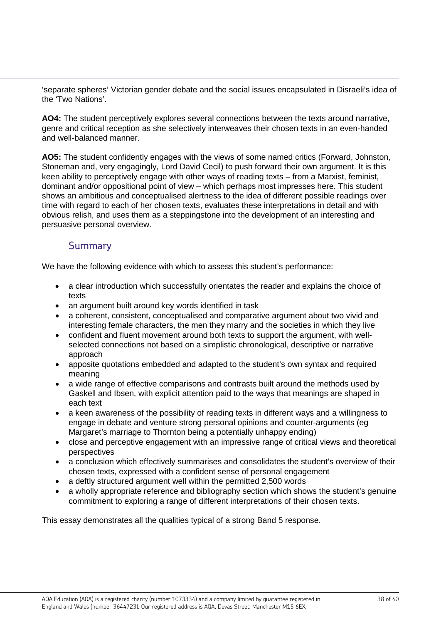'separate spheres' Victorian gender debate and the social issues encapsulated in Disraeli's idea of the 'Two Nations'.

**AO4:** The student perceptively explores several connections between the texts around narrative, genre and critical reception as she selectively interweaves their chosen texts in an even-handed and well-balanced manner.

**AO5:** The student confidently engages with the views of some named critics (Forward, Johnston, Stoneman and, very engagingly, Lord David Cecil) to push forward their own argument. It is this keen ability to perceptively engage with other ways of reading texts – from a Marxist, feminist, dominant and/or oppositional point of view – which perhaps most impresses here. This student shows an ambitious and conceptualised alertness to the idea of different possible readings over time with regard to each of her chosen texts, evaluates these interpretations in detail and with obvious relish, and uses them as a steppingstone into the development of an interesting and persuasive personal overview.

### Summary

We have the following evidence with which to assess this student's performance:

- a clear introduction which successfully orientates the reader and explains the choice of texts
- an argument built around key words identified in task
- a coherent, consistent, conceptualised and comparative argument about two vivid and interesting female characters, the men they marry and the societies in which they live
- confident and fluent movement around both texts to support the argument, with wellselected connections not based on a simplistic chronological, descriptive or narrative approach
- apposite quotations embedded and adapted to the student's own syntax and required meaning
- a wide range of effective comparisons and contrasts built around the methods used by Gaskell and Ibsen, with explicit attention paid to the ways that meanings are shaped in each text
- a keen awareness of the possibility of reading texts in different ways and a willingness to engage in debate and venture strong personal opinions and counter-arguments (eg Margaret's marriage to Thornton being a potentially unhappy ending)
- close and perceptive engagement with an impressive range of critical views and theoretical perspectives
- a conclusion which effectively summarises and consolidates the student's overview of their chosen texts, expressed with a confident sense of personal engagement
- a deftly structured argument well within the permitted 2,500 words
- a wholly appropriate reference and bibliography section which shows the student's genuine commitment to exploring a range of different interpretations of their chosen texts.

This essay demonstrates all the qualities typical of a strong Band 5 response.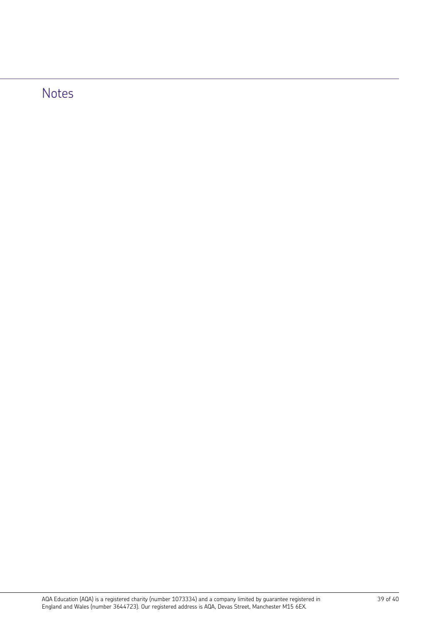# Notes